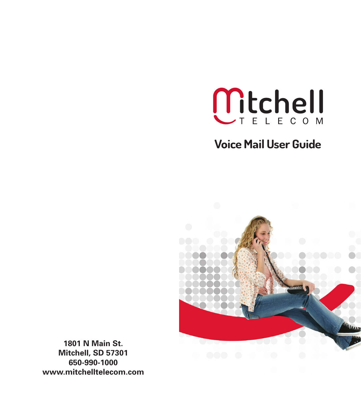

## **Voice Mail User Guide**



**1801 N Main St. Mitchell, SD 57301 650-990-1000 www.mitchelltelecom.com**